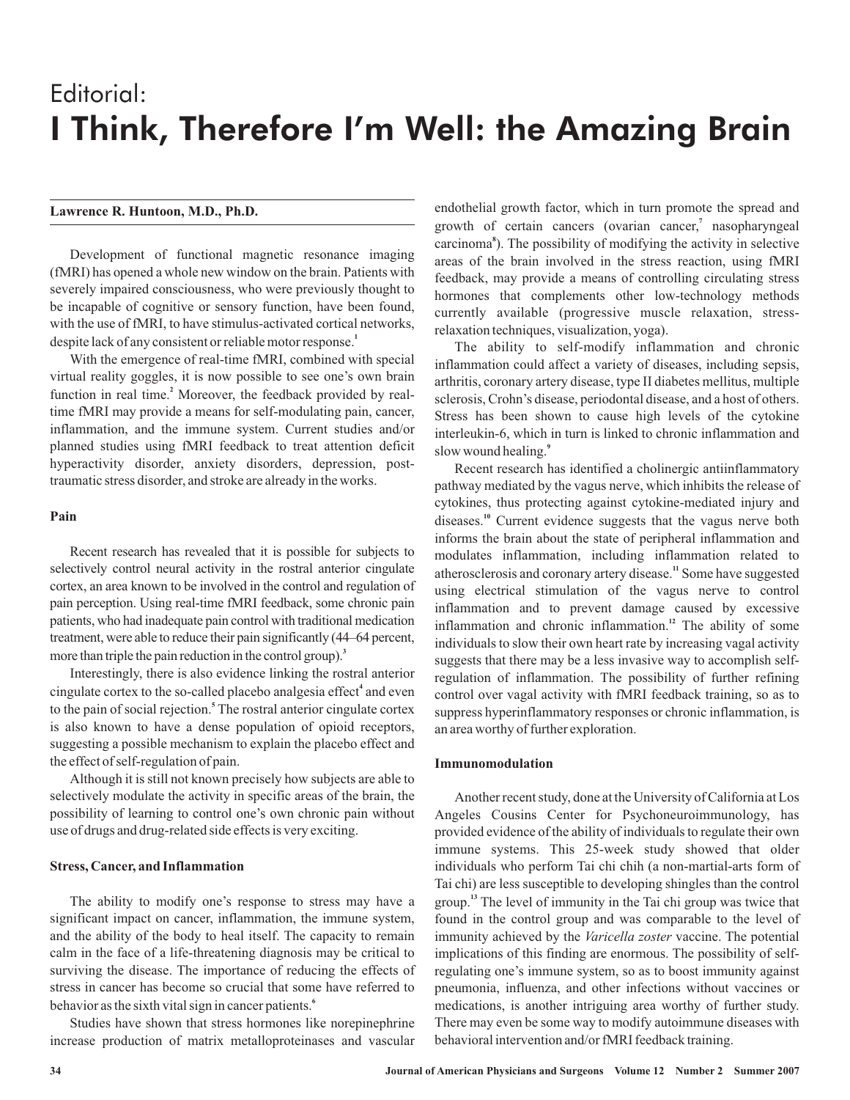# Editorial: I Think, Therefore I'm Well: the Amazing Brain

## **Lawrence R. Huntoon, M.D., Ph.D.**

Development of functional magnetic resonance imaging (fMRI) has opened a whole new window on the brain. Patients with severely impaired consciousness, who were previously thought to be incapable of cognitive or sensory function, have been found, with the use of fMRI, to have stimulus-activated cortical networks, despite lack of any consistent or reliable motor response.<sup>1</sup>

With the emergence of real-time fMRI, combined with special virtual reality goggles, it is now possible to see one's own brain function in real time.<sup>2</sup> Moreover, the feedback provided by realtime fMRI may provide a means for self-modulating pain, cancer, inflammation, and the immune system. Current studies and/or planned studies using fMRI feedback to treat attention deficit hyperactivity disorder, anxiety disorders, depression, posttraumatic stress disorder, and stroke are already in the works.

### **Pain**

Recent research has revealed that it is possible for subjects to selectively control neural activity in the rostral anterior cingulate cortex, an area known to be involved in the control and regulation of pain perception. Using real-time fMRI feedback, some chronic pain patients, who had inadequate pain control with traditional medication treatment, were able to reduce their pain significantly (44–64 percent, more than triple the pain reduction in the control group). **3**

Interestingly, there is also evidence linking the rostral anterior cingulate cortex to the so-called placebo analgesia effect<sup>4</sup> and even to the pain of social rejection.<sup>5</sup> The rostral anterior cingulate cortex is also known to have a dense population of opioid receptors, suggesting a possible mechanism to explain the placebo effect and the effect of self-regulation of pain.

Although it is still not known precisely how subjects are able to selectively modulate the activity in specific areas of the brain, the possibility of learning to control one's own chronic pain without use of drugs and drug-related side effects is very exciting.

## **Stress, Cancer, and Inflammation**

The ability to modify one's response to stress may have a significant impact on cancer, inflammation, the immune system, and the ability of the body to heal itself. The capacity to remain calm in the face of a life-threatening diagnosis may be critical to surviving the disease. The importance of reducing the effects of stress in cancer has become so crucial that some have referred to behavior as the sixth vital sign in cancer patients. **6**

Studies have shown that stress hormones like norepinephrine increase production of matrix metalloproteinases and vascular

endothelial growth factor, which in turn promote the spread and growth of certain cancers (ovarian cancer,<sup>7</sup> nasopharyngeal carcinoma<sup>8</sup>). The possibility of modifying the activity in selective areas of the brain involved in the stress reaction, using fMRI feedback, may provide a means of controlling circulating stress hormones that complements other low-technology methods currently available (progressive muscle relaxation, stressrelaxation techniques, visualization, yoga).

The ability to self-modify inflammation and chronic inflammation could affect a variety of diseases, including sepsis, arthritis, coronary artery disease, type II diabetes mellitus, multiple sclerosis, Crohn's disease, periodontal disease, and a host of others. Stress has been shown to cause high levels of the cytokine interleukin-6, which in turn is linked to chronic inflammation and slow wound healing. **9**

Recent research has identified a cholinergic antiinflammatory pathway mediated by the vagus nerve, which inhibits the release of cytokines, thus protecting against cytokine-mediated injury and diseases.<sup>10</sup> Current evidence suggests that the vagus nerve both informs the brain about the state of peripheral inflammation and modulates inflammation, including inflammation related to atherosclerosis and coronary artery disease.<sup>11</sup> Some have suggested using electrical stimulation of the vagus nerve to control inflammation and to prevent damage caused by excessive inflammation and chronic inflammation.<sup>12</sup> The ability of some individuals to slow their own heart rate by increasing vagal activity suggests that there may be a less invasive way to accomplish selfregulation of inflammation. The possibility of further refining control over vagal activity with fMRI feedback training, so as to suppress hyperinflammatory responses or chronic inflammation, is an area worthy of further exploration.

## **Immunomodulation**

Another recent study, done at the University of California at Los Angeles Cousins Center for Psychoneuroimmunology, has provided evidence of the ability of individuals to regulate their own immune systems. This 25-week study showed that older individuals who perform Tai chi chih (a non-martial-arts form of Tai chi) are less susceptible to developing shingles than the control group.<sup>13</sup> The level of immunity in the Tai chi group was twice that found in the control group and was comparable to the level of immunity achieved by the Varicella zoster vaccine. The potential implications of this finding are enormous. The possibility of selfregulating one's immune system, so as to boost immunity against pneumonia, influenza, and other infections without vaccines or medications, is another intriguing area worthy of further study. There may even be some way to modify autoimmune diseases with behavioral intervention and/or fMRI feedback training.